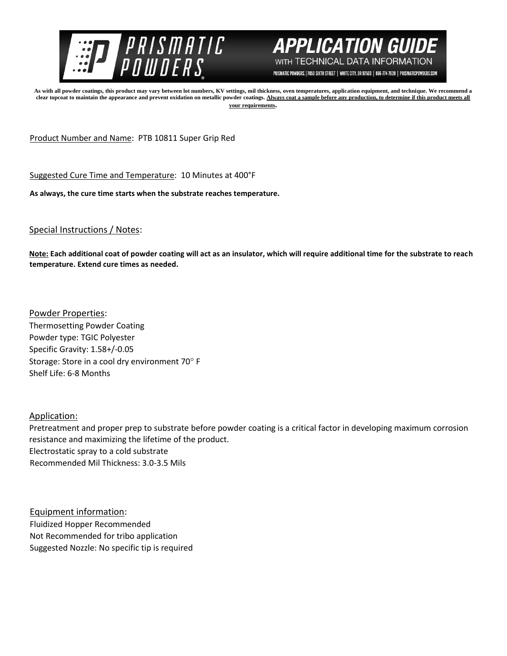



PRISMATIC POWDERS. | 7050 SIXTH STREET | WHITE CITY, OR 97503 | 866-774-7628 | PRISMATICPOWDERS.COM

**As with all powder coatings, this product may vary between lot numbers, KV settings, mil thickness, oven temperatures, application equipment, and technique. We recommend a clear topcoat to maintain the appearance and prevent oxidation on metallic powder coatings. Always coat a sample before any production, to determine if this product meets all your requirements.** 

Product Number and Name: PTB 10811 Super Grip Red

Suggested Cure Time and Temperature: 10 Minutes at 400°F

**As always, the cure time starts when the substrate reaches temperature.**

## Special Instructions / Notes:

**Note: Each additional coat of powder coating will act as an insulator, which will require additional time for the substrate to reach temperature. Extend cure times as needed.** 

Powder Properties: Thermosetting Powder Coating Powder type: TGIC Polyester Specific Gravity: 1.58+/-0.05 Storage: Store in a cool dry environment 70° F Shelf Life: 6-8 Months

Application:

Pretreatment and proper prep to substrate before powder coating is a critical factor in developing maximum corrosion resistance and maximizing the lifetime of the product. Electrostatic spray to a cold substrate Recommended Mil Thickness: 3.0-3.5 Mils

Equipment information: Fluidized Hopper Recommended Not Recommended for tribo application Suggested Nozzle: No specific tip is required